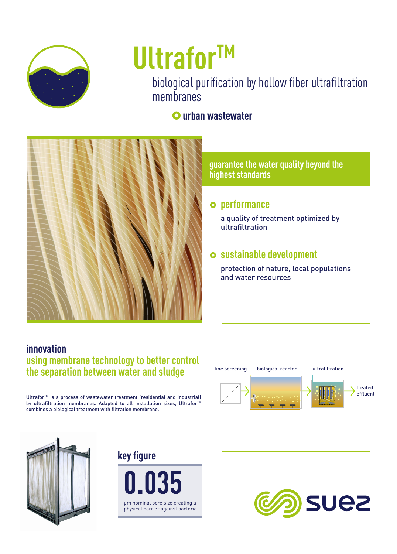

# **UltraforTM**

biological purification by hollow fiber ultrafiltration membranes

#### }**urban wastewater**



#### **guarantee the water quality beyond the highest standards**

#### } **performance**

a quality of treatment optimized by ultrafiltration

#### } **sustainable development**

protection of nature, local populations and water resources

#### **innovation using membrane technology to better control the separation between water and sludge**

Ultrafor<sup>™</sup> is a process of wastewater treatment (residential and industrial) by ultrafiltration membranes. Adapted to all installation sizes, Ultrafor<sup>™</sup> combines a biological treatment with filtration membrane.









fine screening biological reactor **biological reaction** ultrafiltration